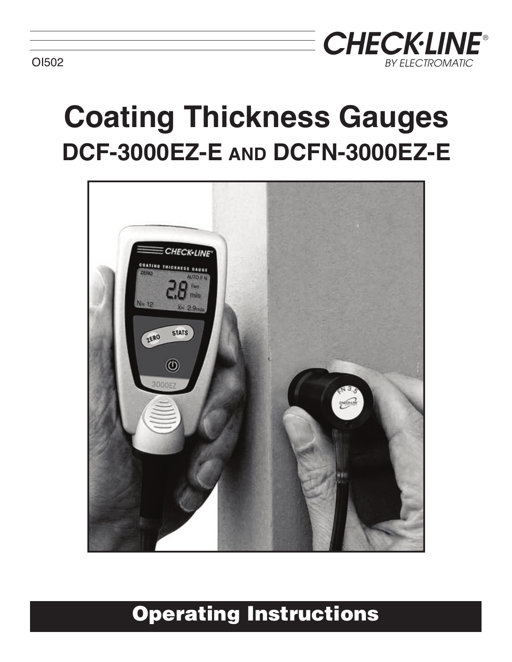

# **Coating Thickness Gauges DCF-3000EZ-E AND DCFN-3000EZ-E**



# **Operating Instructions**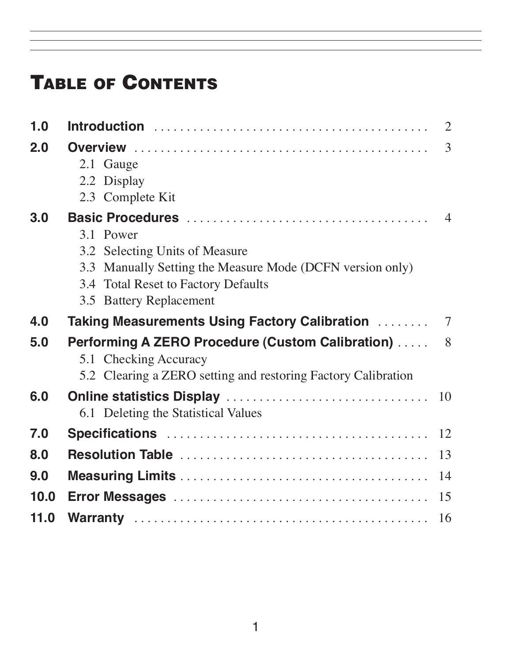# **TABLE OF CONTENTS**

| 1.0  |                                                                                                  | $\overline{2}$ |
|------|--------------------------------------------------------------------------------------------------|----------------|
| 2.0  | 2.1 Gauge                                                                                        | 3              |
|      | 2.2 Display<br>2.3 Complete Kit                                                                  |                |
| 3.0  |                                                                                                  | $\overline{4}$ |
|      | 3.1 Power                                                                                        |                |
|      | 3.2 Selecting Units of Measure                                                                   |                |
|      | 3.3 Manually Setting the Measure Mode (DCFN version only)<br>3.4 Total Reset to Factory Defaults |                |
|      | 3.5 Battery Replacement                                                                          |                |
| 4.0  |                                                                                                  |                |
| 5.0  | <b>Performing A ZERO Procedure (Custom Calibration) </b><br>5.1 Checking Accuracy                | 8              |
|      | 5.2 Clearing a ZERO setting and restoring Factory Calibration                                    |                |
| 6.0  | 6.1 Deleting the Statistical Values                                                              |                |
| 7.0  |                                                                                                  |                |
| 8.0  |                                                                                                  | 13             |
| 9.0  |                                                                                                  | 14             |
| 10.0 |                                                                                                  | 15             |
| 11.0 |                                                                                                  | 16             |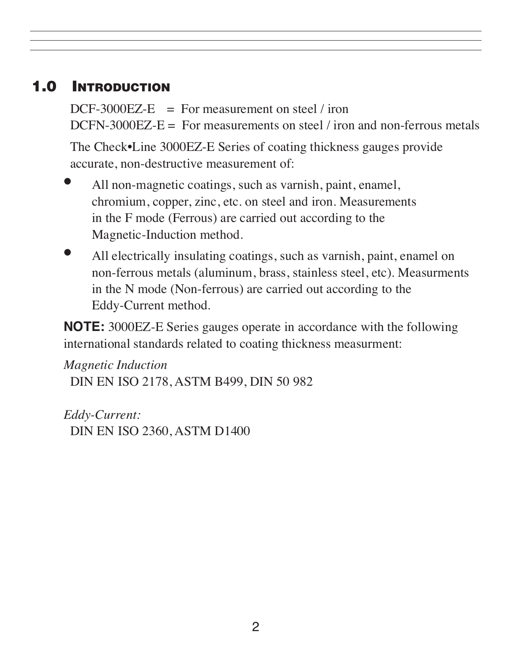# **1.0 INTRODUCTION**

 $DCF-3000EZ-E$  = For measurement on steel / iron DCFN-3000EZ-E  $=$  For measurements on steel / iron and non-ferrous metals

 The Check•Line 3000EZ-E Series of coating thickness gauges provide accurate, non-destructive measurement of:

- All non-magnetic coatings, such as varnish, paint, enamel, chromium, copper, zinc, etc. on steel and iron. Measurements in the F mode (Ferrous) are carried out according to the Magnetic-Induction method.
- All electrically insulating coatings, such as varnish, paint, enamel on non-ferrous metals (aluminum, brass, stainless steel, etc). Measurments in the N mode (Non-ferrous) are carried out according to the Eddy-Current method.

 **NOTE:** 3000EZ-E Series gauges operate in accordance with the following international standards related to coating thickness measurment:

 *Magnetic Induction* DIN EN ISO 2178, ASTM B499, DIN 50 982

 *Eddy-Current:* DIN EN ISO 2360, ASTM D1400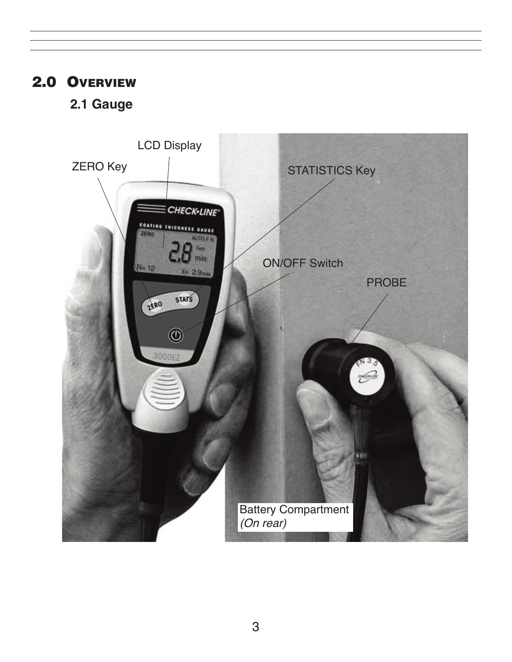# **2.0 OVERVIEW**

### **2.1 Gauge**

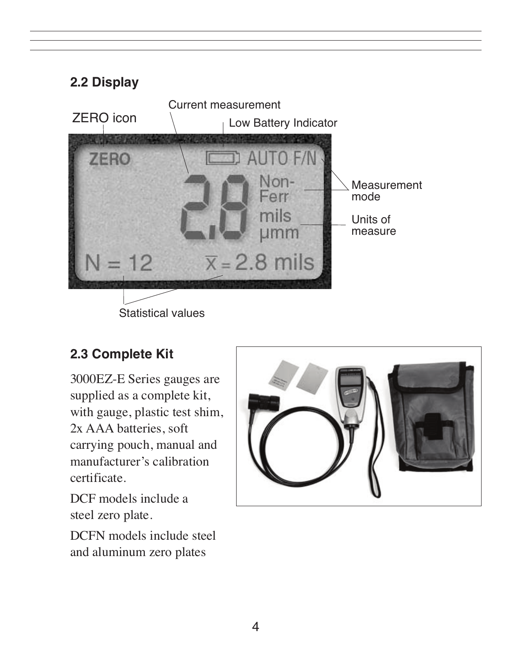

#### **2.3 Complete Kit**

 3000EZ-E Series gauges are supplied as a complete kit, with gauge, plastic test shim, 2x AAA batteries, soft carrying pouch, manual and manufacturer's calibration certificate.

 DCF models include a steel zero plate.

 DCFN models include steel and aluminum zero plates

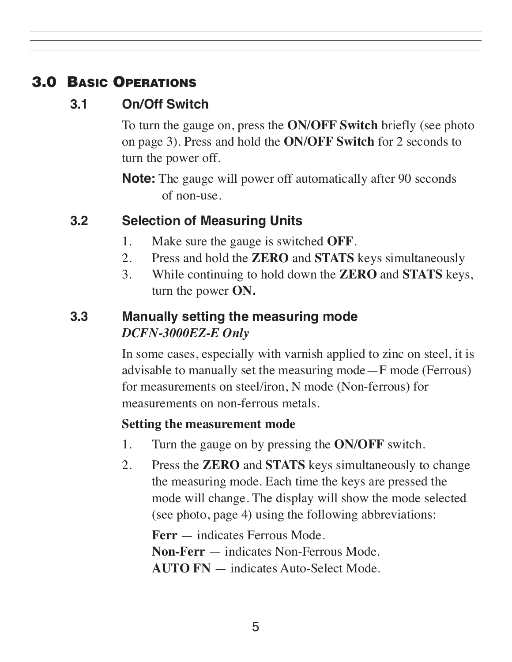# **3.0 BASIC OPERATIONS**

### **3.1 On/Off Switch**

To turn the gauge on, press the **ON/OFF Switch** briefly (see photo on page 3). Press and hold the **ON/OFF Switch** for 2 seconds to turn the power off.

 **Note:** The gauge will power off automatically after 90 seconds of non-use.

### **3.2 Selection of Measuring Units**

- 1. Make sure the gauge is switched **OFF**.
- 2. Press and hold the **ZERO** and **STATS** keys simultaneously
- 3. While continuing to hold down the **ZERO** and **STATS** keys, turn the power **ON.**

#### **3.3 Manually setting the measuring mode** *DCFN-3000EZ-E Only*

In some cases, especially with varnish applied to zinc on steel, it is advisable to manually set the measuring mode—F mode (Ferrous) for measurements on steel/iron, N mode (Non-ferrous) for measurements on non-ferrous metals.

#### **Setting the measurement mode**

- 1. Turn the gauge on by pressing the **ON/OFF** switch.
- 2. Press the **ZERO** and **STATS** keys simultaneously to change the measuring mode. Each time the keys are pressed the mode will change. The display will show the mode selected (see photo, page 4) using the following abbreviations:

 **Ferr** — indicates Ferrous Mode. **Non-Ferr** — indicates Non-Ferrous Mode. **AUTO FN** — indicates Auto-Select Mode.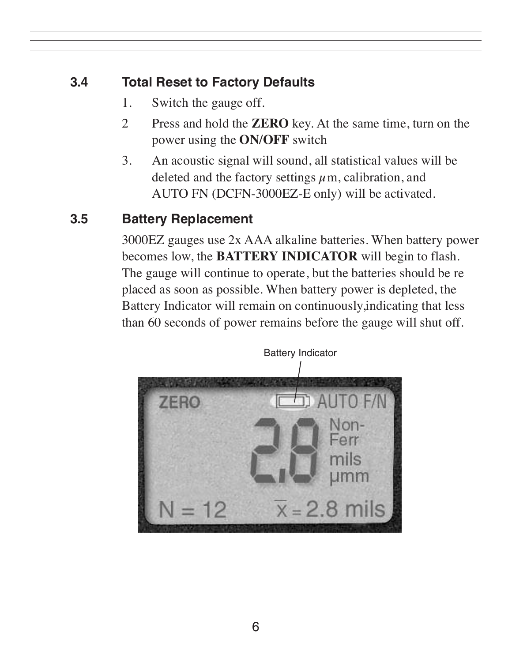# **3.4 Total Reset to Factory Defaults**

- 1. Switch the gauge off.
- 2 Press and hold the **ZERO** key. At the same time, turn on the power using the **ON/OFF** switch
- 3. An acoustic signal will sound, all statistical values will be deleted and the factory settings  $\mu$ m, calibration, and AUTO FN (DCFN-3000EZ-E only) will be activated.

# **3.5 Battery Replacement**

 3000EZ gauges use 2x AAA alkaline batteries. When battery power becomes low, the **BATTERY INDICATOR** will begin to flash. The gauge will continue to operate, but the batteries should be re placed as soon as possible. When battery power is depleted, the Battery Indicator will remain on continuously,indicating that less than 60 seconds of power remains before the gauge will shut off.

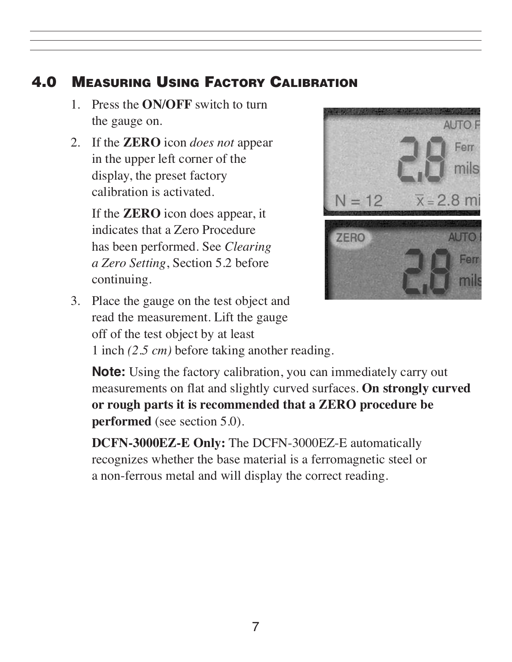# **4.0 MEASURING USING FACTORY CALIBRATION**

- 1. Press the **ON/OFF** switch to turn the gauge on.
- 2. If the **ZERO** icon *does not* appear in the upper left corner of the display, the preset factory calibration is activated.

 If the **ZERO** icon does appear, it indicates that a Zero Procedure has been performed. See *Clearing a Zero Setting*, Section 5.2 before continuing.



 3. Place the gauge on the test object and read the measurement. Lift the gauge off of the test object by at least

1 inch *(2.5 cm)* before taking another reading.

 **Note:** Using the factory calibration, you can immediately carry out measurements on flat and slightly curved surfaces. **On strongly curved or rough parts it is recommended that a ZERO procedure be performed** (see section 5.0).

 **DCFN-3000EZ-E Only:** The DCFN-3000EZ-E automatically recognizes whether the base material is a ferromagnetic steel or a non-ferrous metal and will display the correct reading.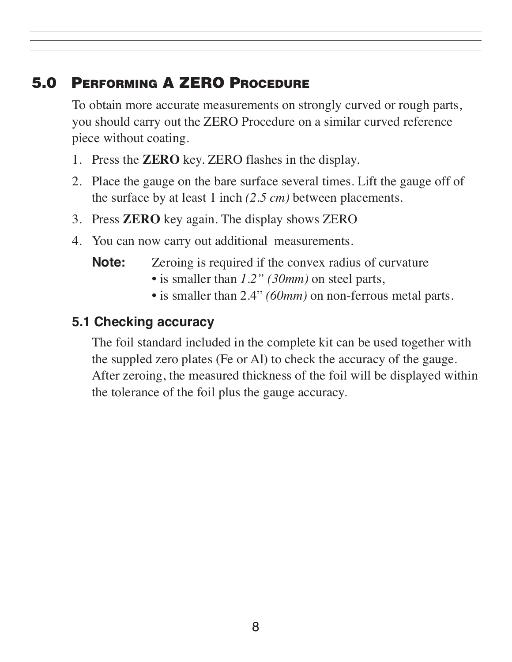# **5.0 PERFORMING A ZERO PROCEDURE**

 To obtain more accurate measurements on strongly curved or rough parts, you should carry out the ZERO Procedure on a similar curved reference piece without coating.

- 1. Press the **ZERO** key. ZERO flashes in the display.
- 2. Place the gauge on the bare surface several times. Lift the gauge off of the surface by at least 1 inch *(2.5 cm)* between placements.
- 3. Press **ZERO** key again. The display shows ZERO
- 4. You can now carry out additional measurements.

**Note:** Zeroing is required if the convex radius of curvature

- is smaller than *1.2" (30mm)* on steel parts,
- is smaller than 2.4" *(60mm)* on non-ferrous metal parts.

#### **5.1 Checking accuracy**

The foil standard included in the complete kit can be used together with the suppled zero plates (Fe or Al) to check the accuracy of the gauge. After zeroing, the measured thickness of the foil will be displayed within the tolerance of the foil plus the gauge accuracy.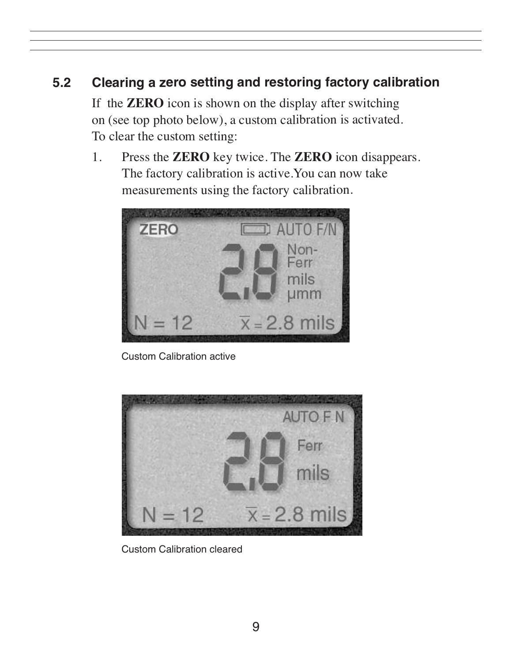# **5.2 Clearing <sup>a</sup> zero setting and restoring factory calibration**

If the **ZERO** icon is shown on the display after switching on (see top photo below), <sup>a</sup> custom calibration is activated. To clear the custom setting:

1. Press the **ZERO** key twice. The **ZERO** icon disappears. The factory calibration is active.You can now take measurements using the factory calibration.



Custom Calibration active



Custom Calibration cleared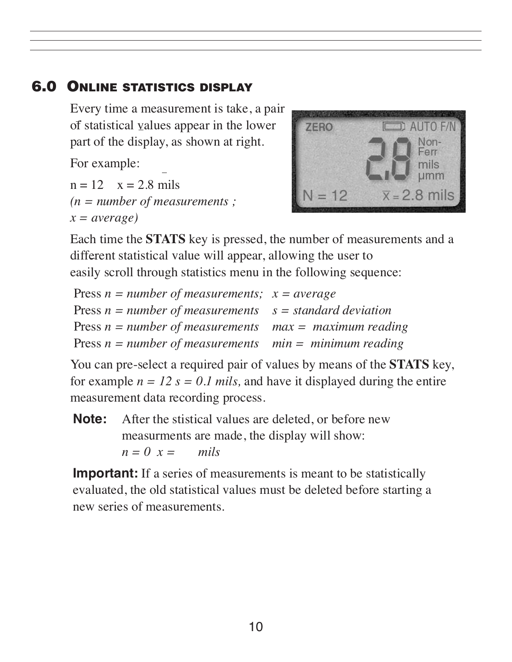#### **6.0 ONLINE STATISTICS DISPLAY**

 Every time a measurement is take, a pair of statistical values appear in the lower part of the display, as shown at right.

For example:

 $n = 12$   $x = 2.8$  mils *(n = number of measurements ;*  $x = average$ 



 Each time the **STATS** key is pressed, the number of measurements and a different statistical value will appear, allowing the user to easily scroll through statistics menu in the following sequence:

| Press $n = number of measurements; x = average$             |  |
|-------------------------------------------------------------|--|
| Press $n = number of measurements$ $s = standard deviation$ |  |
| Press $n = number of measurements$ max = maximum reading    |  |
| Press $n = number of measurements$ min = minimum reading    |  |

 You can pre-select a required pair of values by means of the **STATS** key, for example  $n = 12$   $s = 0.1$  *mils*, and have it displayed during the entire measurement data recording process.

**Note:** After the stistical values are deleted, or before new measurments are made, the display will show:  $n = 0$   $x =$  *mils* 

**Important:** If a series of measurements is meant to be statistically evaluated, the old statistical values must be deleted before starting a new series of measurements.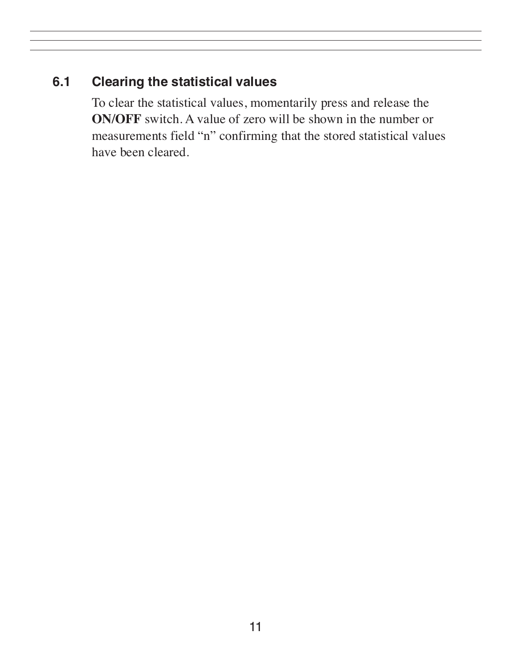#### **6.1 Clearing the statistical values**

 To clear the statistical values, momentarily press and release the **ON/OFF** switch. A value of zero will be shown in the number or measurements field "n" confirming that the stored statistical values have been cleared.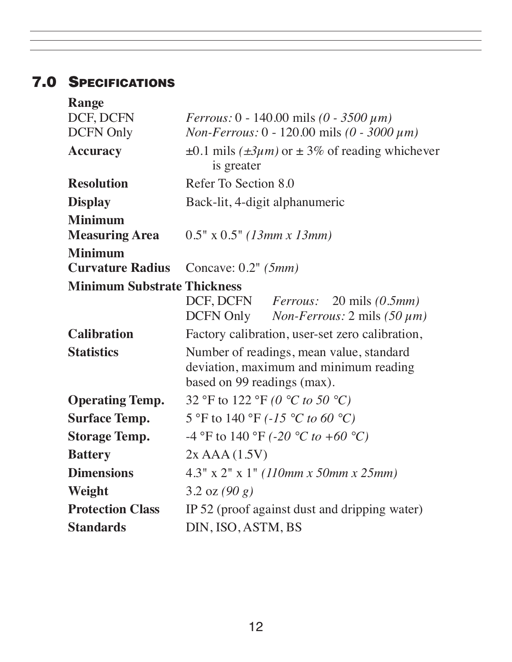# **7.0 SPECIFICATIONS**

| <b>Range</b>                       |                                                                                                                   |
|------------------------------------|-------------------------------------------------------------------------------------------------------------------|
| DCF, DCFN                          | <i>Ferrous:</i> $0 - 140.00$ mils $(0 - 3500 \mu m)$                                                              |
| <b>DCFN Only</b>                   | <i>Non-Ferrous:</i> $0 - 120.00$ mils $(0 - 3000 \mu m)$                                                          |
| <b>Accuracy</b>                    | $\pm 0.1$ mils ( $\pm 3\mu m$ ) or $\pm 3\%$ of reading whichever<br>is greater                                   |
| <b>Resolution</b>                  | Refer To Section 8.0                                                                                              |
| <b>Display</b>                     | Back-lit, 4-digit alphanumeric                                                                                    |
| <b>Minimum</b>                     |                                                                                                                   |
| <b>Measuring Area</b>              | $0.5" \times 0.5" (13mm \times 13mm)$                                                                             |
| <b>Minimum</b>                     |                                                                                                                   |
| <b>Curvature Radius</b>            | Concave: $0.2$ " ( $5mm$ )                                                                                        |
| <b>Minimum Substrate Thickness</b> |                                                                                                                   |
|                                    | DCF, DCFN <i>Ferrous</i> : 20 mils (0.5mm)<br>DCFN Only <i>Non-Ferrous</i> : $2 \text{ mils} (50 \mu m)$          |
| <b>Calibration</b>                 | Factory calibration, user-set zero calibration,                                                                   |
| <b>Statistics</b>                  | Number of readings, mean value, standard<br>deviation, maximum and minimum reading<br>based on 99 readings (max). |
| <b>Operating Temp.</b>             | 32 °F to 122 °F (0 °C to 50 °C)                                                                                   |
| <b>Surface Temp.</b>               | 5 °F to 140 °F (-15 °C to 60 °C)                                                                                  |
| <b>Storage Temp.</b>               | -4 °F to 140 °F (-20 °C to +60 °C)                                                                                |
| <b>Battery</b>                     | $2x$ AAA $(1.5V)$                                                                                                 |
| <b>Dimensions</b>                  | $4.3''$ x $2''$ x 1" (110mm x 50mm x 25mm)                                                                        |
| Weight                             | 3.2 oz $(90 g)$                                                                                                   |
| <b>Protection Class</b>            | IP 52 (proof against dust and dripping water)                                                                     |
| <b>Standards</b>                   | DIN, ISO, ASTM, BS                                                                                                |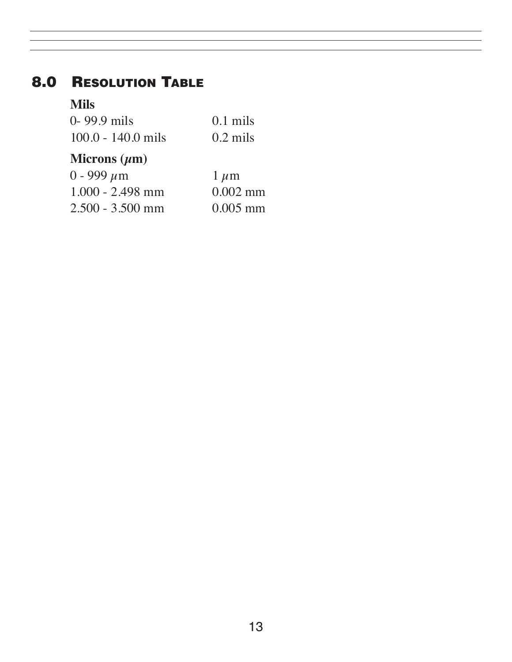# **8.0 RESOLUTION TABLE**

#### **Mils**

| $0 - 99.9$ mils      | $0.1$ mils |
|----------------------|------------|
| $100.0 - 140.0$ mils | $0.2$ mils |

### **Microns (µm)**

| $0 - 999 \,\mu m$  | $1 \mu m$  |
|--------------------|------------|
| $1.000 - 2.498$ mm | $0.002$ mm |
| $2.500 - 3.500$ mm | $0.005$ mm |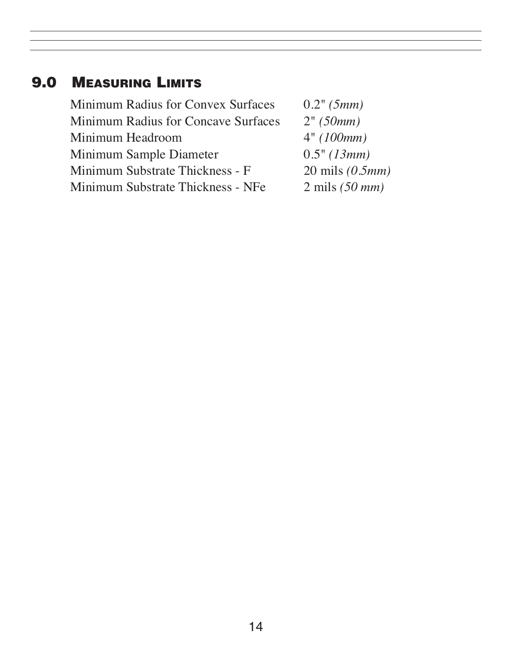# **9.0 MEASURING LIMITS**

| <b>Minimum Radius for Convex Surfaces</b>  | 0.2" (5mm)               |
|--------------------------------------------|--------------------------|
| <b>Minimum Radius for Concave Surfaces</b> | 2" (50mm)                |
| Minimum Headroom                           | 4" (100mm)               |
| Minimum Sample Diameter                    | 0.5" (13mm)              |
| Minimum Substrate Thickness - F            | 20 mils $(0.5mm)$        |
| Minimum Substrate Thickness - NFe          | $2 \text{ mils}$ (50 mm) |
|                                            |                          |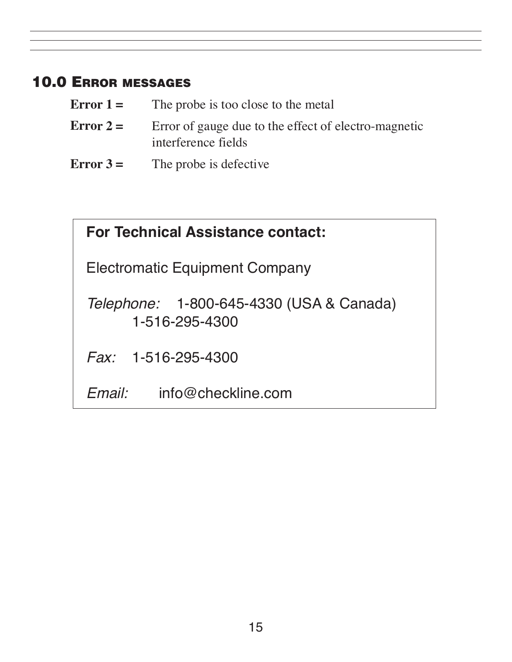# **10.0 ERROR MESSAGES**

| Error $1=$  | The probe is too close to the metal                                         |
|-------------|-----------------------------------------------------------------------------|
| Error $2=$  | Error of gauge due to the effect of electro-magnetic<br>interference fields |
| $Error 3 =$ | The probe is defective                                                      |

| <b>For Technical Assistance contact:</b>                          |  |  |
|-------------------------------------------------------------------|--|--|
| Electromatic Equipment Company                                    |  |  |
| <i>Telephone:</i> 1-800-645-4330 (USA & Canada)<br>1-516-295-4300 |  |  |
| Fax: 1-516-295-4300                                               |  |  |
| info@checkline.com<br>$F$ mail $\cdot$                            |  |  |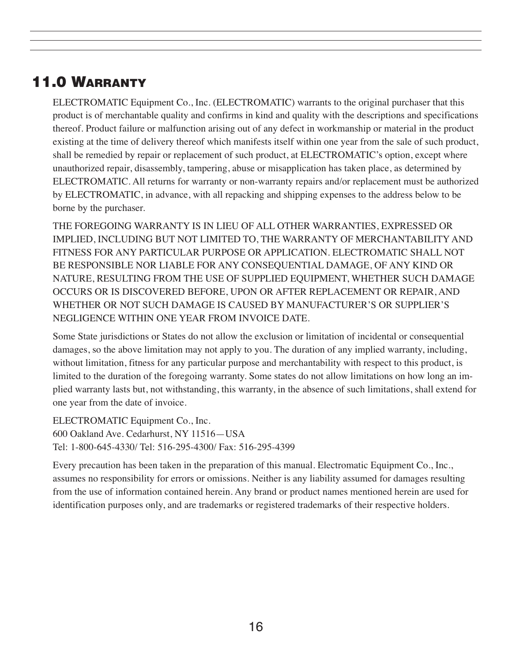# **11.0 WARRANTY**

ELECTROMATIC Equipment Co., Inc. (ELECTROMATIC) warrants to the original purchaser that this product is of merchantable quality and confirms in kind and quality with the descriptions and specifications thereof. Product failure or malfunction arising out of any defect in workmanship or material in the product existing at the time of delivery thereof which manifests itself within one year from the sale of such product, shall be remedied by repair or replacement of such product, at ELECTROMATIC's option, except where unauthorized repair, disassembly, tampering, abuse or misapplication has taken place, as determined by ELECTROMATIC. All returns for warranty or non-warranty repairs and/or replacement must be authorized by ELECTROMATIC, in advance, with all repacking and shipping expenses to the address below to be borne by the purchaser.

THE FOREGOING WARRANTY IS IN LIEU OF ALL OTHER WARRANTIES, EXPRESSED OR IMPLIED, INCLUDING BUT NOT LIMITED TO, THE WARRANTY OF MERCHANTABILITY AND FITNESS FOR ANY PARTICULAR PURPOSE OR APPLICATION. ELECTROMATIC SHALL NOT BE RESPONSIBLE NOR LIABLE FOR ANY CONSEQUENTIAL DAMAGE, OF ANY KIND OR NATURE, RESULTING FROM THE USE OF SUPPLIED EQUIPMENT, WHETHER SUCH DAMAGE OCCURS OR IS DISCOVERED BEFORE, UPON OR AFTER REPLACEMENT OR REPAIR, AND WHETHER OR NOT SUCH DAMAGE IS CAUSED BY MANUFACTURER'S OR SUPPLIER'S NEGLIGENCE WITHIN ONE YEAR FROM INVOICE DATE.

Some State jurisdictions or States do not allow the exclusion or limitation of incidental or consequential damages, so the above limitation may not apply to you. The duration of any implied warranty, including, without limitation, fitness for any particular purpose and merchantability with respect to this product, is limited to the duration of the foregoing warranty. Some states do not allow limitations on how long an implied warranty lasts but, not withstanding, this warranty, in the absence of such limitations, shall extend for one year from the date of invoice.

ELECTROMATIC Equipment Co., Inc. 600 Oakland Ave. Cedarhurst, NY 11516—USA Tel: 1-800-645-4330/ Tel: 516-295-4300/ Fax: 516-295-4399

Every precaution has been taken in the preparation of this manual. Electromatic Equipment Co., Inc., assumes no responsibility for errors or omissions. Neither is any liability assumed for damages resulting from the use of information contained herein. Any brand or product names mentioned herein are used for identification purposes only, and are trademarks or registered trademarks of their respective holders.